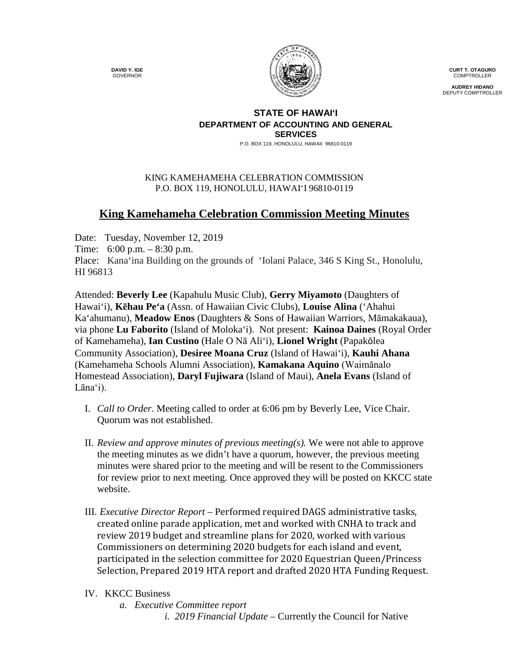**DAVID Y. IGE** GOVERNOR



**CURT T. OTAGURO** COMPTROLLER

**AUDREY HIDANO** DEPUTY COMPTROLLER

## **STATE OF HAWAI'I DEPARTMENT OF ACCOUNTING AND GENERAL SERVICES**

P.O. BOX 119, HONOLULU, HAWAII 96810-0119

## KING KAMEHAMEHA CELEBRATION COMMISSION P.O. BOX 119, HONOLULU, HAWAIʻI 96810-0119

## **King Kamehameha Celebration Commission Meeting Minutes**

Date: Tuesday, November 12, 2019 Time: 6:00 p.m. – 8:30 p.m. Place: Kana'ina Building on the grounds of 'Iolani Palace, 346 S King St., Honolulu, HI 96813

Attended: **Beverly Lee** (Kapahulu Music Club), **Gerry Miyamoto** (Daughters of Hawai'i), **Kēhau Pe'a** (Assn. of Hawaiian Civic Clubs), **Louise Alina** ('Ahahui Ka'ahumanu), **Meadow Enos** (Daughters & Sons of Hawaiian Warriors, Māmakakaua), via phone **Lu Faborito** (Island of Moloka'i). Not present: **Kainoa Daines** (Royal Order of Kamehameha), **Ian Custino** (Hale O Nā Ali'i), **Lionel Wright** (Papakōlea Community Association), **Desiree Moana Cruz** (Island of Hawai'i), **Kauhi Ahana** (Kamehameha Schools Alumni Association), **Kamakana Aquino** (Waimānalo Homestead Association), **Daryl Fujiwara** (Island of Maui), **Anela Evans** (Island of Lāna'i).

- I. *Call to Order*. Meeting called to order at 6:06 pm by Beverly Lee, Vice Chair. Quorum was not established.
- II. *Review and approve minutes of previous meeting(s).* We were not able to approve the meeting minutes as we didn't have a quorum, however, the previous meeting minutes were shared prior to the meeting and will be resent to the Commissioners for review prior to next meeting. Once approved they will be posted on KKCC state website.
- III. *Executive Director Report* Performed required DAGS administrative tasks, created online parade application, met and worked with CNHA to track and review 2019 budget and streamline plans for 2020, worked with various Commissioners on determining 2020 budgets for each island and event, participated in the selection committee for 2020 Equestrian Queen/Princess Selection, Prepared 2019 HTA report and drafted 2020 HTA Funding Request.
- IV. KKCC Business
	- *a. Executive Committee report*
		- *i. i. 2019 Financial Update* Currently the Council for Native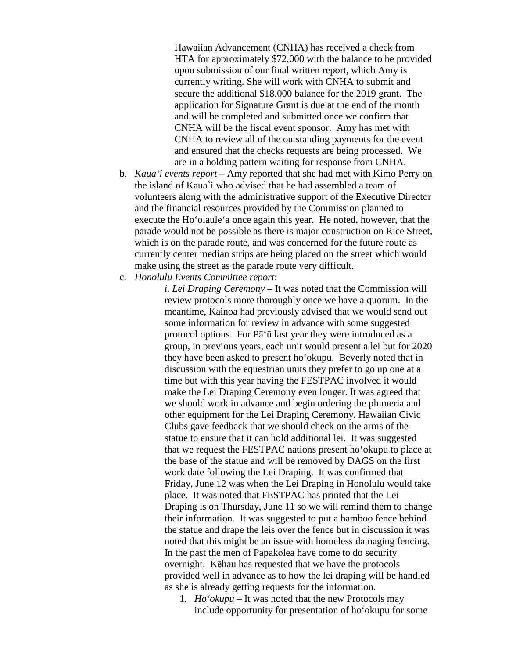Hawaiian Advancement (CNHA) has received a check from HTA for approximately \$72,000 with the balance to be provided upon submission of our final written report, which Amy is currently writing. She will work with CNHA to submit and secure the additional \$18,000 balance for the 2019 grant. The application for Signature Grant is due at the end of the month and will be completed and submitted once we confirm that CNHA will be the fiscal event sponsor. Amy has met with CNHA to review all of the outstanding payments for the event and ensured that the checks requests are being processed. We are in a holding pattern waiting for response from CNHA.

- b. *Kaua'i events report –* Amy reported that she had met with Kimo Perry on the island of Kaua`i who advised that he had assembled a team of volunteers along with the administrative support of the Executive Director and the financial resources provided by the Commission planned to execute the Ho'olaule'a once again this year. He noted, however, that the parade would not be possible as there is major construction on Rice Street, which is on the parade route, and was concerned for the future route as currently center median strips are being placed on the street which would make using the street as the parade route very difficult.
- c. *Honolulu Events Committee report*:

*i. Lei Draping Ceremony* – It was noted that the Commission will review protocols more thoroughly once we have a quorum. In the meantime, Kainoa had previously advised that we would send out some information for review in advance with some suggested protocol options. For Pā'ū last year they were introduced as a group, in previous years, each unit would present a lei but for 2020 they have been asked to present ho'okupu. Beverly noted that in discussion with the equestrian units they prefer to go up one at a time but with this year having the FESTPAC involved it would make the Lei Draping Ceremony even longer. It was agreed that we should work in advance and begin ordering the plumeria and other equipment for the Lei Draping Ceremony. Hawaiian Civic Clubs gave feedback that we should check on the arms of the statue to ensure that it can hold additional lei. It was suggested that we request the FESTPAC nations present ho'okupu to place at the base of the statue and will be removed by DAGS on the first work date following the Lei Draping. It was confirmed that Friday, June 12 was when the Lei Draping in Honolulu would take place. It was noted that FESTPAC has printed that the Lei Draping is on Thursday, June 11 so we will remind them to change their information. It was suggested to put a bamboo fence behind the statue and drape the leis over the fence but in discussion it was noted that this might be an issue with homeless damaging fencing. In the past the men of Papakōlea have come to do security overnight. Kēhau has requested that we have the protocols provided well in advance as to how the lei draping will be handled as she is already getting requests for the information.

1. *Ho'okupu* – It was noted that the new Protocols may include opportunity for presentation of ho'okupu for some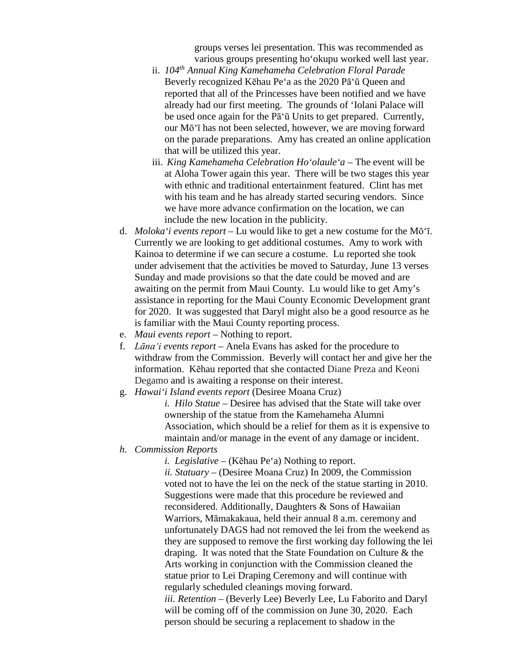groups verses lei presentation. This was recommended as various groups presenting ho'okupu worked well last year.

- ii. *104th Annual King Kamehameha Celebration Floral Parade* Beverly recognized Kēhau Pe'a as the 2020 Pā'ū Queen and reported that all of the Princesses have been notified and we have already had our first meeting. The grounds of 'Iolani Palace will be used once again for the Pā'ū Units to get prepared. Currently, our Mō'ī has not been selected, however, we are moving forward on the parade preparations. Amy has created an online application that will be utilized this year.
- iii. *King Kamehameha Celebration Ho'olaule'a* The event will be at Aloha Tower again this year. There will be two stages this year with ethnic and traditional entertainment featured. Clint has met with his team and he has already started securing vendors. Since we have more advance confirmation on the location, we can include the new location in the publicity.
- d. *Moloka'i events report* Lu would like to get a new costume for the Mō'ī. Currently we are looking to get additional costumes. Amy to work with Kainoa to determine if we can secure a costume. Lu reported she took under advisement that the activities be moved to Saturday, June 13 verses Sunday and made provisions so that the date could be moved and are awaiting on the permit from Maui County. Lu would like to get Amy's assistance in reporting for the Maui County Economic Development grant for 2020. It was suggested that Daryl might also be a good resource as he is familiar with the Maui County reporting process.
- e. *Maui events report* Nothing to report.
- f. *Lāna'i events report* Anela Evans has asked for the procedure to withdraw from the Commission. Beverly will contact her and give her the information. Kēhau reported that she contacted Diane Preza and Keoni Degamo and is awaiting a response on their interest.
- g. *Hawai'i Island events report* (Desiree Moana Cruz)

*i. i. Hilo Statue* – Desiree has advised that the State will take over ownership of the statue from the Kamehameha Alumni Association, which should be a relief for them as it is expensive to maintain and/or manage in the event of any damage or incident.

*h. Commission Reports*

*i. i. Legislative* – (Kēhau Pe'a) Nothing to report. *ii. Statuary –* (Desiree Moana Cruz) In 2009, the Commission voted not to have the lei on the neck of the statue starting in 2010. Suggestions were made that this procedure be reviewed and reconsidered. Additionally, Daughters & Sons of Hawaiian Warriors, Māmakakaua, held their annual 8 a.m. ceremony and unfortunately DAGS had not removed the lei from the weekend as they are supposed to remove the first working day following the lei draping. It was noted that the State Foundation on Culture & the Arts working in conjunction with the Commission cleaned the statue prior to Lei Draping Ceremony and will continue with regularly scheduled cleanings moving forward. *iii. Retention –* (Beverly Lee) Beverly Lee, Lu Faborito and Daryl will be coming off of the commission on June 30, 2020. Each person should be securing a replacement to shadow in the